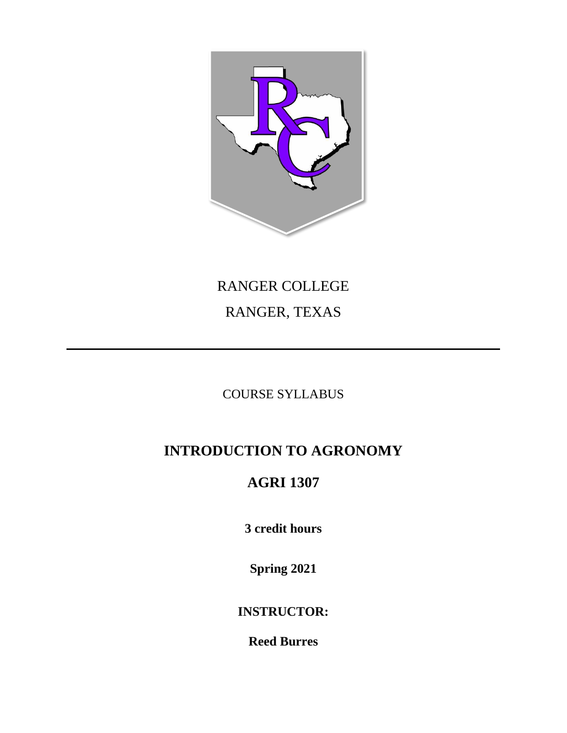

# RANGER COLLEGE RANGER, TEXAS

### COURSE SYLLABUS

# **INTRODUCTION TO AGRONOMY**

## **AGRI 1307**

**3 credit hours**

**Spring 2021**

**INSTRUCTOR:**

**Reed Burres**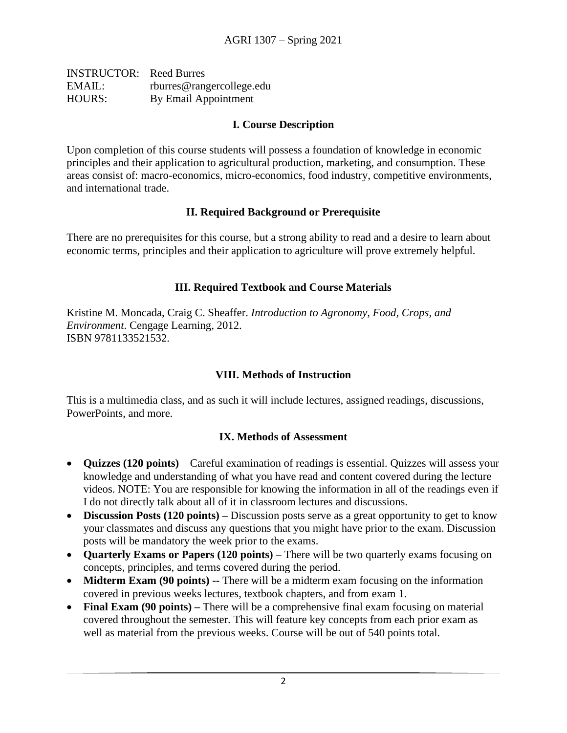| <b>INSTRUCTOR:</b> Reed Burres |                           |
|--------------------------------|---------------------------|
| EMAIL:                         | rburres@rangercollege.edu |
| <b>HOURS:</b>                  | By Email Appointment      |

#### **I. Course Description**

Upon completion of this course students will possess a foundation of knowledge in economic principles and their application to agricultural production, marketing, and consumption. These areas consist of: macro-economics, micro-economics, food industry, competitive environments, and international trade.

#### **II. Required Background or Prerequisite**

There are no prerequisites for this course, but a strong ability to read and a desire to learn about economic terms, principles and their application to agriculture will prove extremely helpful.

#### **III. Required Textbook and Course Materials**

Kristine M. Moncada, Craig C. Sheaffer. *Introduction to Agronomy, Food, Crops, and Environment*. Cengage Learning, 2012. ISBN 9781133521532.

#### **VIII. Methods of Instruction**

This is a multimedia class, and as such it will include lectures, assigned readings, discussions, PowerPoints, and more.

#### **IX. Methods of Assessment**

- **Quizzes (120 points)** Careful examination of readings is essential. Quizzes will assess your knowledge and understanding of what you have read and content covered during the lecture videos. NOTE: You are responsible for knowing the information in all of the readings even if I do not directly talk about all of it in classroom lectures and discussions.
- **Discussion Posts (120 points) –** Discussion posts serve as a great opportunity to get to know your classmates and discuss any questions that you might have prior to the exam. Discussion posts will be mandatory the week prior to the exams.
- **Quarterly Exams or Papers (120 points)**  There will be two quarterly exams focusing on concepts, principles, and terms covered during the period.
- **Midterm Exam (90 points)** -- There will be a midterm exam focusing on the information covered in previous weeks lectures, textbook chapters, and from exam 1.
- **Final Exam (90 points)** There will be a comprehensive final exam focusing on material covered throughout the semester. This will feature key concepts from each prior exam as well as material from the previous weeks. Course will be out of 540 points total.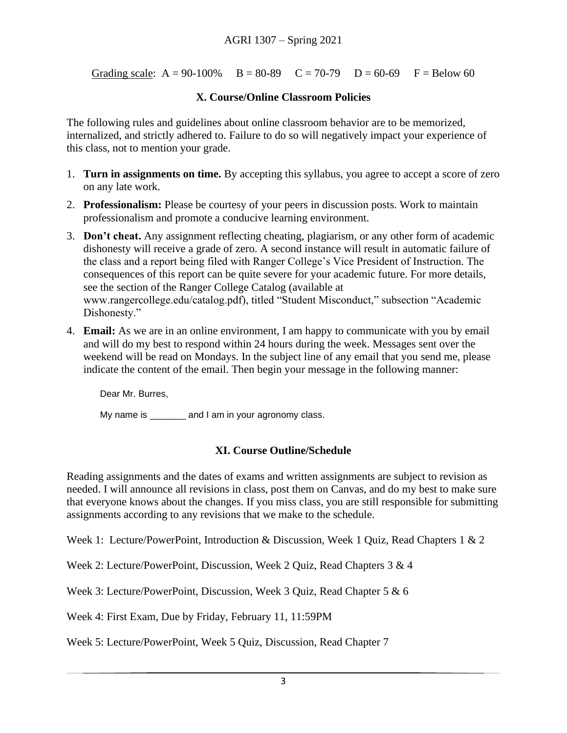Grading scale:  $A = 90-100\%$   $B = 80-89$   $C = 70-79$   $D = 60-69$   $F = Below 60$ 

#### **X. Course/Online Classroom Policies**

The following rules and guidelines about online classroom behavior are to be memorized, internalized, and strictly adhered to. Failure to do so will negatively impact your experience of this class, not to mention your grade.

- 1. **Turn in assignments on time.** By accepting this syllabus, you agree to accept a score of zero on any late work.
- 2. **Professionalism:** Please be courtesy of your peers in discussion posts. Work to maintain professionalism and promote a conducive learning environment.
- 3. **Don't cheat.** Any assignment reflecting cheating, plagiarism, or any other form of academic dishonesty will receive a grade of zero. A second instance will result in automatic failure of the class and a report being filed with Ranger College's Vice President of Instruction. The consequences of this report can be quite severe for your academic future. For more details, see the section of the Ranger College Catalog (available at www.rangercollege.edu/catalog.pdf), titled "Student Misconduct," subsection "Academic Dishonesty."
- 4. **Email:** As we are in an online environment, I am happy to communicate with you by email and will do my best to respond within 24 hours during the week. Messages sent over the weekend will be read on Mondays. In the subject line of any email that you send me, please indicate the content of the email. Then begin your message in the following manner:

Dear Mr. Burres,

My name is early and I am in your agronomy class.

#### **XI. Course Outline/Schedule**

Reading assignments and the dates of exams and written assignments are subject to revision as needed. I will announce all revisions in class, post them on Canvas, and do my best to make sure that everyone knows about the changes. If you miss class, you are still responsible for submitting assignments according to any revisions that we make to the schedule.

Week 1: Lecture/PowerPoint, Introduction & Discussion, Week 1 Ouiz, Read Chapters 1 & 2

Week 2: Lecture/PowerPoint, Discussion, Week 2 Quiz, Read Chapters 3 & 4

Week 3: Lecture/PowerPoint, Discussion, Week 3 Quiz, Read Chapter 5 & 6

Week 4: First Exam, Due by Friday, February 11, 11:59PM

Week 5: Lecture/PowerPoint, Week 5 Quiz, Discussion, Read Chapter 7